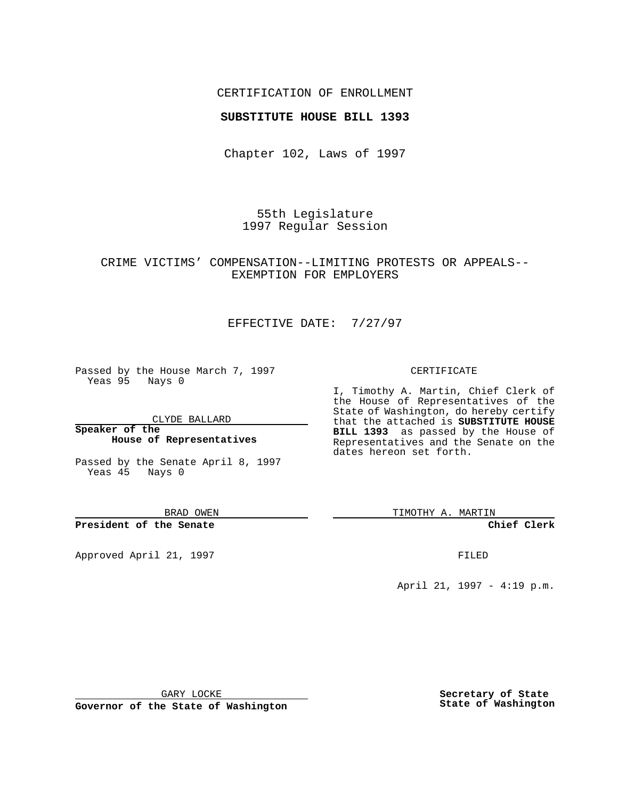### CERTIFICATION OF ENROLLMENT

## **SUBSTITUTE HOUSE BILL 1393**

Chapter 102, Laws of 1997

55th Legislature 1997 Regular Session

## CRIME VICTIMS' COMPENSATION--LIMITING PROTESTS OR APPEALS-- EXEMPTION FOR EMPLOYERS

# EFFECTIVE DATE: 7/27/97

Passed by the House March 7, 1997 Yeas 95 Nays 0

CLYDE BALLARD

**Speaker of the House of Representatives**

Passed by the Senate April 8, 1997 Yeas 45 Nays 0

BRAD OWEN

**President of the Senate**

Approved April 21, 1997 **FILED** 

#### CERTIFICATE

I, Timothy A. Martin, Chief Clerk of the House of Representatives of the State of Washington, do hereby certify that the attached is **SUBSTITUTE HOUSE BILL 1393** as passed by the House of Representatives and the Senate on the dates hereon set forth.

TIMOTHY A. MARTIN

**Chief Clerk**

April 21, 1997 - 4:19 p.m.

GARY LOCKE

**Governor of the State of Washington**

**Secretary of State State of Washington**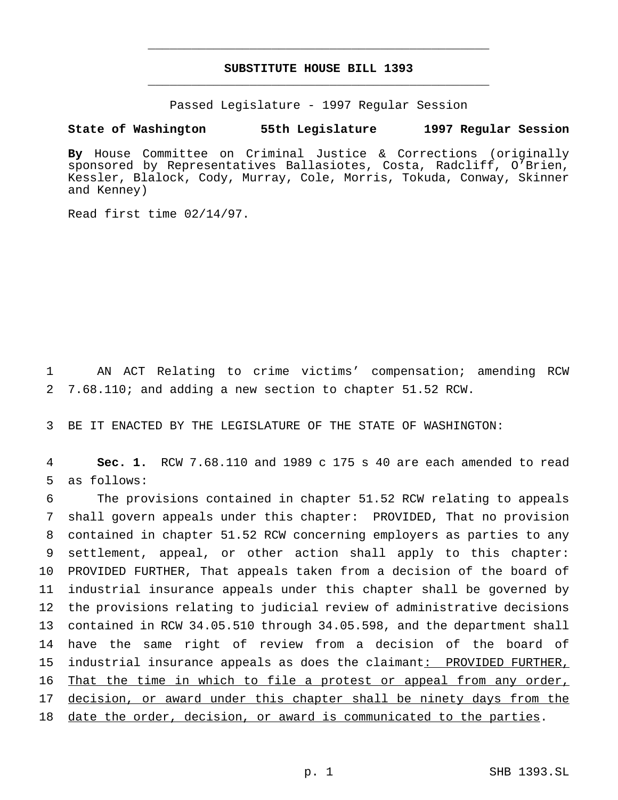# **SUBSTITUTE HOUSE BILL 1393** \_\_\_\_\_\_\_\_\_\_\_\_\_\_\_\_\_\_\_\_\_\_\_\_\_\_\_\_\_\_\_\_\_\_\_\_\_\_\_\_\_\_\_\_\_\_\_

\_\_\_\_\_\_\_\_\_\_\_\_\_\_\_\_\_\_\_\_\_\_\_\_\_\_\_\_\_\_\_\_\_\_\_\_\_\_\_\_\_\_\_\_\_\_\_

Passed Legislature - 1997 Regular Session

## **State of Washington 55th Legislature 1997 Regular Session**

**By** House Committee on Criminal Justice & Corrections (originally sponsored by Representatives Ballasiotes, Costa, Radcliff, O'Brien, Kessler, Blalock, Cody, Murray, Cole, Morris, Tokuda, Conway, Skinner and Kenney)

Read first time 02/14/97.

1 AN ACT Relating to crime victims' compensation; amending RCW 2 7.68.110; and adding a new section to chapter 51.52 RCW.

3 BE IT ENACTED BY THE LEGISLATURE OF THE STATE OF WASHINGTON:

4 **Sec. 1.** RCW 7.68.110 and 1989 c 175 s 40 are each amended to read 5 as follows:

 The provisions contained in chapter 51.52 RCW relating to appeals shall govern appeals under this chapter: PROVIDED, That no provision contained in chapter 51.52 RCW concerning employers as parties to any settlement, appeal, or other action shall apply to this chapter: PROVIDED FURTHER, That appeals taken from a decision of the board of industrial insurance appeals under this chapter shall be governed by the provisions relating to judicial review of administrative decisions contained in RCW 34.05.510 through 34.05.598, and the department shall have the same right of review from a decision of the board of industrial insurance appeals as does the claimant: PROVIDED FURTHER, That the time in which to file a protest or appeal from any order, 17 decision, or award under this chapter shall be ninety days from the 18 date the order, decision, or award is communicated to the parties.